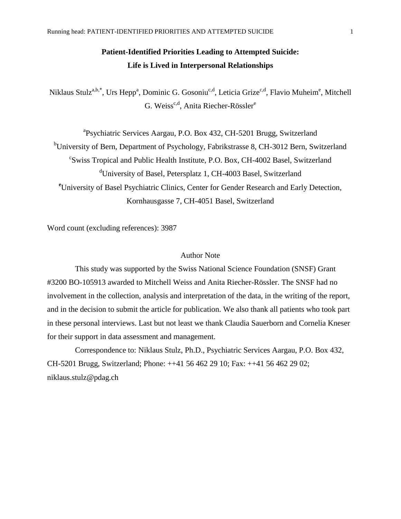# **Patient-Identified Priorities Leading to Attempted Suicide: Life is Lived in Interpersonal Relationships**

Niklaus Stulz<sup>a,b,\*</sup>, Urs Hepp<sup>a</sup>, Dominic G. Gosoniu<sup>c,d</sup>, Leticia Grize<sup>c,d</sup>, Flavio Muheim<sup>e</sup>, Mitchell G. Weiss<sup>c,d</sup>, Anita Riecher-Rössler<sup>e</sup>

<sup>a</sup>Psychiatric Services Aargau, P.O. Box 432, CH-5201 Brugg, Switzerland <sup>b</sup>University of Bern, Department of Psychology, Fabrikstrasse 8, CH-3012 Bern, Switzerland c Swiss Tropical and Public Health Institute, P.O. Box, CH-4002 Basel, Switzerland <sup>d</sup>University of Basel, Petersplatz 1, CH-4003 Basel, Switzerland **<sup>e</sup>**University of Basel Psychiatric Clinics, Center for Gender Research and Early Detection, Kornhausgasse 7, CH-4051 Basel, Switzerland

Word count (excluding references): 3987

## Author Note

This study was supported by the Swiss National Science Foundation (SNSF) Grant #3200 BO-105913 awarded to Mitchell Weiss and Anita Riecher-Rössler. The SNSF had no involvement in the collection, analysis and interpretation of the data, in the writing of the report, and in the decision to submit the article for publication. We also thank all patients who took part in these personal interviews. Last but not least we thank Claudia Sauerborn and Cornelia Kneser for their support in data assessment and management.

Correspondence to: Niklaus Stulz, Ph.D., Psychiatric Services Aargau, P.O. Box 432, CH-5201 Brugg, Switzerland; Phone: ++41 56 462 29 10; Fax: ++41 56 462 29 02; niklaus.stulz@pdag.ch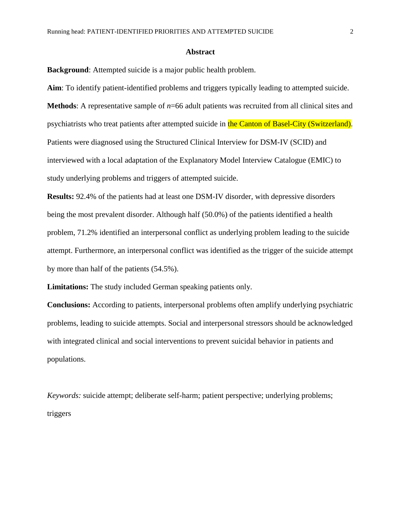#### **Abstract**

**Background**: Attempted suicide is a major public health problem.

**Aim**: To identify patient-identified problems and triggers typically leading to attempted suicide. **Methods**: A representative sample of *n*=66 adult patients was recruited from all clinical sites and psychiatrists who treat patients after attempted suicide in the Canton of Basel-City (Switzerland). Patients were diagnosed using the Structured Clinical Interview for DSM-IV (SCID) and interviewed with a local adaptation of the Explanatory Model Interview Catalogue (EMIC) to study underlying problems and triggers of attempted suicide.

**Results:** 92.4% of the patients had at least one DSM-IV disorder, with depressive disorders being the most prevalent disorder. Although half (50.0%) of the patients identified a health problem, 71.2% identified an interpersonal conflict as underlying problem leading to the suicide attempt. Furthermore, an interpersonal conflict was identified as the trigger of the suicide attempt by more than half of the patients (54.5%).

**Limitations:** The study included German speaking patients only.

**Conclusions:** According to patients, interpersonal problems often amplify underlying psychiatric problems, leading to suicide attempts. Social and interpersonal stressors should be acknowledged with integrated clinical and social interventions to prevent suicidal behavior in patients and populations.

*Keywords:* suicide attempt; deliberate self-harm; patient perspective; underlying problems; triggers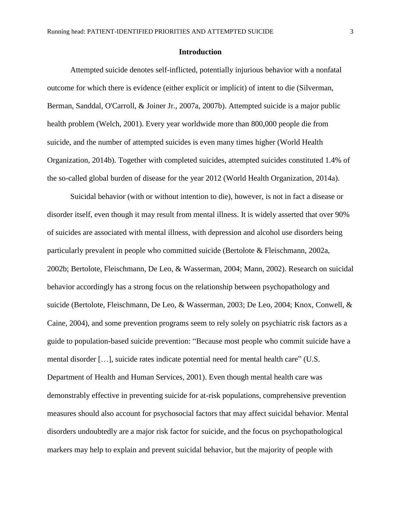#### **Introduction**

Attempted suicide denotes self-inflicted, potentially injurious behavior with a nonfatal outcome for which there is evidence (either explicit or implicit) of intent to die [\(Silverman,](#page-21-0)  [Berman, Sanddal, O'Carroll, & Joiner Jr., 2007a,](#page-21-0) [2007b\)](#page-21-1). Attempted suicide is a major public health problem [\(Welch, 2001\)](#page-22-0). Every year worldwide more than 800,000 people die from suicide, and the number of attempted suicides is even many times higher [\(World Health](#page-22-1)  [Organization, 2014b\)](#page-22-1). Together with completed suicides, attempted suicides constituted 1.4% of the so-called global burden of disease for the year 2012 [\(World Health Organization, 2014a\)](#page-22-2).

Suicidal behavior (with or without intention to die), however, is not in fact a disease or disorder itself, even though it may result from mental illness. It is widely asserted that over 90% of suicides are associated with mental illness, with depression and alcohol use disorders being particularly prevalent in people who committed suicide (Bertolote [& Fleischmann, 2002a,](#page-18-0) [2002b;](#page-18-1) [Bertolote, Fleischmann, De Leo, & Wasserman, 2004;](#page-18-2) [Mann, 2002\)](#page-20-0). Research on suicidal behavior accordingly has a strong focus on the relationship between psychopathology and suicide [\(Bertolote, Fleischmann, De Leo, & Wasserman, 2003;](#page-18-3) [De Leo, 2004;](#page-19-0) [Knox, Conwell, &](#page-20-1)  [Caine, 2004\)](#page-20-1), and some prevention programs seem to rely solely on psychiatric risk factors as a guide to population-based suicide prevention: "Because most people who commit suicide have a mental disorder […], suicide rates indicate potential need for mental health care" [\(U.S.](#page-22-3)  [Department of Health and Human Services, 2001\)](#page-22-3). Even though mental health care was demonstrably effective in preventing suicide for at-risk populations, comprehensive prevention measures should also account for psychosocial factors that may affect suicidal behavior. Mental disorders undoubtedly are a major risk factor for suicide, and the focus on psychopathological markers may help to explain and prevent suicidal behavior, but the majority of people with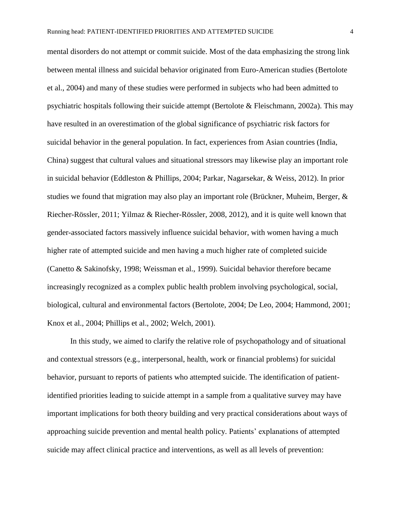mental disorders do not attempt or commit suicide. Most of the data emphasizing the strong link between mental illness and suicidal behavior originated from Euro-American studies [\(Bertolote](#page-18-2)  [et al., 2004\)](#page-18-2) and many of these studies were performed in subjects who had been admitted to psychiatric hospitals following their suicide attempt [\(Bertolote & Fleischmann, 2002a\)](#page-18-0). This may have resulted in an overestimation of the global significance of psychiatric risk factors for suicidal behavior in the general population. In fact, experiences from Asian countries (India, China) suggest that cultural values and situational stressors may likewise play an important role in suicidal behavior [\(Eddleston & Phillips, 2004;](#page-19-1) [Parkar, Nagarsekar, & Weiss, 2012\)](#page-21-2). In prior studies we found that migration may also play an important role [\(Brückner, Muheim, Berger, &](#page-18-4)  [Riecher-Rössler, 2011;](#page-18-4) [Yilmaz & Riecher-Rössler, 2008,](#page-22-4) [2012\)](#page-22-5), and it is quite well known that gender-associated factors massively influence suicidal behavior, with women having a much higher rate of attempted suicide and men having a much higher rate of completed suicide [\(Canetto & Sakinofsky, 1998;](#page-19-2) [Weissman et al., 1999\)](#page-22-6). Suicidal behavior therefore became increasingly recognized as a complex public health problem involving psychological, social, biological, cultural and environmental factors [\(Bertolote, 2004;](#page-18-5) [De Leo, 2004;](#page-19-0) [Hammond, 2001;](#page-20-2) [Knox et al., 2004;](#page-20-1) [Phillips et al., 2002;](#page-21-3) [Welch, 2001\)](#page-22-0).

In this study, we aimed to clarify the relative role of psychopathology and of situational and contextual stressors (e.g., interpersonal, health, work or financial problems) for suicidal behavior, pursuant to reports of patients who attempted suicide. The identification of patientidentified priorities leading to suicide attempt in a sample from a qualitative survey may have important implications for both theory building and very practical considerations about ways of approaching suicide prevention and mental health policy. Patients' explanations of attempted suicide may affect clinical practice and interventions, as well as all levels of prevention: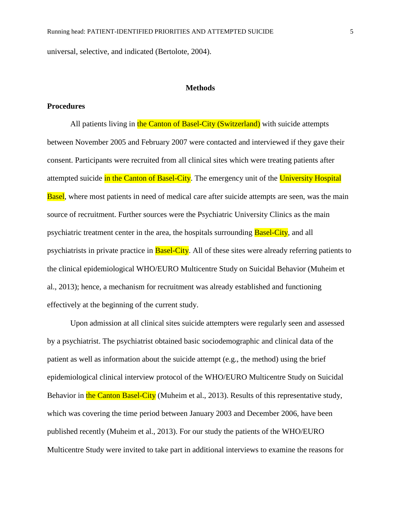universal, selective, and indicated [\(Bertolote, 2004\)](#page-18-5).

# **Methods**

### **Procedures**

All patients living in the Canton of Basel-City (Switzerland) with suicide attempts between November 2005 and February 2007 were contacted and interviewed if they gave their consent. Participants were recruited from all clinical sites which were treating patients after attempted suicide in the Canton of Basel-City. The emergency unit of the University Hospital **Basel**, where most patients in need of medical care after suicide attempts are seen, was the main source of recruitment. Further sources were the Psychiatric University Clinics as the main psychiatric treatment center in the area, the hospitals surrounding **Basel-City**, and all psychiatrists in private practice in **Basel-City**. All of these sites were already referring patients to the clinical epidemiological WHO/EURO Multicentre Study on Suicidal Behavior [\(Muheim et](#page-20-3)  [al., 2013\)](#page-20-3); hence, a mechanism for recruitment was already established and functioning effectively at the beginning of the current study.

Upon admission at all clinical sites suicide attempters were regularly seen and assessed by a psychiatrist. The psychiatrist obtained basic sociodemographic and clinical data of the patient as well as information about the suicide attempt (e.g., the method) using the brief epidemiological clinical interview protocol of the WHO/EURO Multicentre Study on Suicidal Behavior in the Canton Basel-City [\(Muheim et al., 2013\)](#page-20-3). Results of this representative study, which was covering the time period between January 2003 and December 2006, have been published recently [\(Muheim et al., 2013\)](#page-20-3). For our study the patients of the WHO/EURO Multicentre Study were invited to take part in additional interviews to examine the reasons for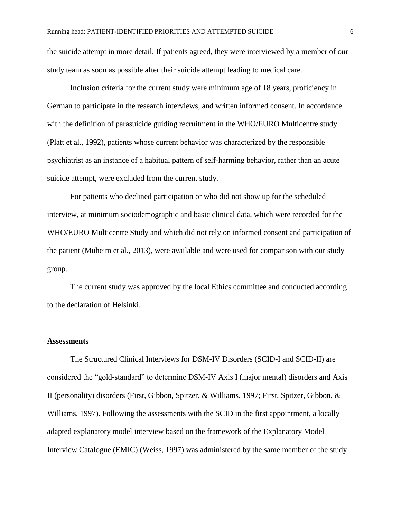the suicide attempt in more detail. If patients agreed, they were interviewed by a member of our study team as soon as possible after their suicide attempt leading to medical care.

Inclusion criteria for the current study were minimum age of 18 years, proficiency in German to participate in the research interviews, and written informed consent. In accordance with the definition of parasuicide guiding recruitment in the WHO/EURO Multicentre study [\(Platt et al., 1992\)](#page-21-4), patients whose current behavior was characterized by the responsible psychiatrist as an instance of a habitual pattern of self-harming behavior, rather than an acute suicide attempt, were excluded from the current study.

For patients who declined participation or who did not show up for the scheduled interview, at minimum sociodemographic and basic clinical data, which were recorded for the WHO/EURO Multicentre Study and which did not rely on informed consent and participation of the patient [\(Muheim et al., 2013\)](#page-20-3), were available and were used for comparison with our study group.

The current study was approved by the local Ethics committee and conducted according to the declaration of Helsinki.

#### **Assessments**

The Structured Clinical Interviews for DSM-IV Disorders (SCID-I and SCID-II) are considered the "gold-standard" to determine DSM-IV Axis I (major mental) disorders and Axis II (personality) disorders [\(First, Gibbon, Spitzer, & Williams, 1997;](#page-19-3) [First, Spitzer, Gibbon, &](#page-19-4)  [Williams, 1997\)](#page-19-4). Following the assessments with the SCID in the first appointment, a locally adapted explanatory model interview based on the framework of the Explanatory Model Interview Catalogue (EMIC) [\(Weiss, 1997\)](#page-22-7) was administered by the same member of the study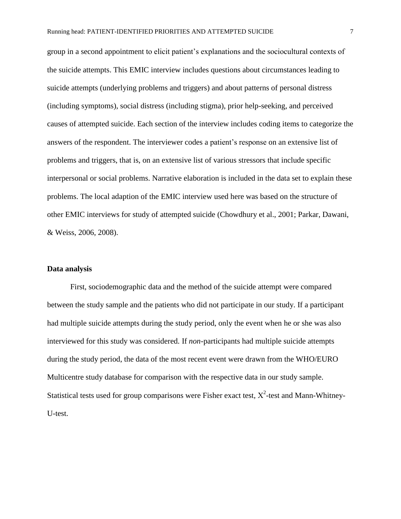group in a second appointment to elicit patient's explanations and the sociocultural contexts of the suicide attempts. This EMIC interview includes questions about circumstances leading to suicide attempts (underlying problems and triggers) and about patterns of personal distress (including symptoms), social distress (including stigma), prior help-seeking, and perceived causes of attempted suicide. Each section of the interview includes coding items to categorize the answers of the respondent. The interviewer codes a patient's response on an extensive list of problems and triggers, that is, on an extensive list of various stressors that include specific interpersonal or social problems. Narrative elaboration is included in the data set to explain these problems. The local adaption of the EMIC interview used here was based on the structure of other EMIC interviews for study of attempted suicide [\(Chowdhury et al., 2001;](#page-19-5) [Parkar, Dawani,](#page-20-4)  [& Weiss, 2006,](#page-20-4) [2008\)](#page-20-5).

#### **Data analysis**

First, sociodemographic data and the method of the suicide attempt were compared between the study sample and the patients who did not participate in our study. If a participant had multiple suicide attempts during the study period, only the event when he or she was also interviewed for this study was considered. If *non*-participants had multiple suicide attempts during the study period, the data of the most recent event were drawn from the WHO/EURO Multicentre study database for comparison with the respective data in our study sample. Statistical tests used for group comparisons were Fisher exact test,  $X^2$ -test and Mann-Whitney-U-test.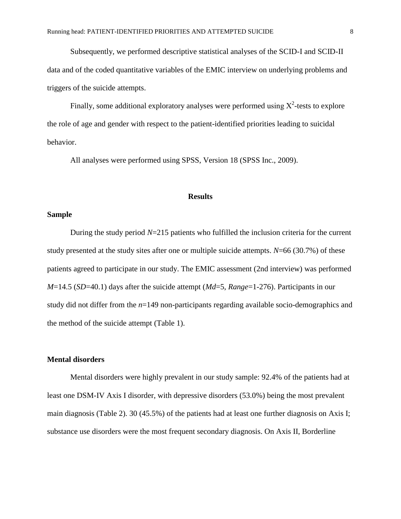Subsequently, we performed descriptive statistical analyses of the SCID-I and SCID-II data and of the coded quantitative variables of the EMIC interview on underlying problems and triggers of the suicide attempts.

Finally, some additional exploratory analyses were performed using  $X^2$ -tests to explore the role of age and gender with respect to the patient-identified priorities leading to suicidal behavior.

All analyses were performed using SPSS, Version 18 [\(SPSS Inc., 2009\)](#page-22-8).

## **Results**

## **Sample**

During the study period *N*=215 patients who fulfilled the inclusion criteria for the current study presented at the study sites after one or multiple suicide attempts. *N*=66 (30.7%) of these patients agreed to participate in our study. The EMIC assessment (2nd interview) was performed *M*=14.5 (*SD*=40.1) days after the suicide attempt (*Md*=5, *Range*=1-276). Participants in our study did not differ from the *n*=149 non-participants regarding available socio-demographics and the method of the suicide attempt (Table 1).

## **Mental disorders**

Mental disorders were highly prevalent in our study sample: 92.4% of the patients had at least one DSM-IV Axis I disorder, with depressive disorders (53.0%) being the most prevalent main diagnosis (Table 2). 30 (45.5%) of the patients had at least one further diagnosis on Axis I; substance use disorders were the most frequent secondary diagnosis. On Axis II, Borderline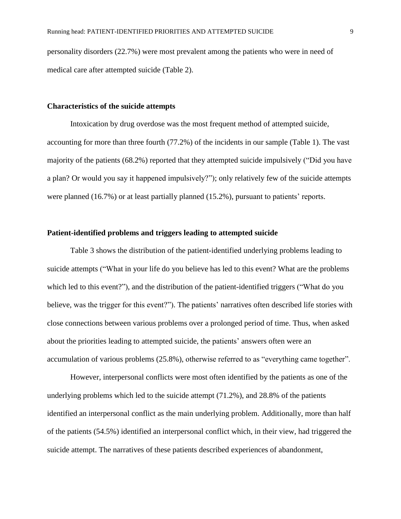personality disorders (22.7%) were most prevalent among the patients who were in need of medical care after attempted suicide (Table 2).

#### **Characteristics of the suicide attempts**

Intoxication by drug overdose was the most frequent method of attempted suicide, accounting for more than three fourth (77.2%) of the incidents in our sample (Table 1). The vast majority of the patients (68.2%) reported that they attempted suicide impulsively ("Did you have a plan? Or would you say it happened impulsively?"); only relatively few of the suicide attempts were planned (16.7%) or at least partially planned (15.2%), pursuant to patients' reports.

## **Patient-identified problems and triggers leading to attempted suicide**

Table 3 shows the distribution of the patient-identified underlying problems leading to suicide attempts ("What in your life do you believe has led to this event? What are the problems which led to this event?"), and the distribution of the patient-identified triggers ("What do you believe, was the trigger for this event?"). The patients' narratives often described life stories with close connections between various problems over a prolonged period of time. Thus, when asked about the priorities leading to attempted suicide, the patients' answers often were an accumulation of various problems (25.8%), otherwise referred to as "everything came together".

However, interpersonal conflicts were most often identified by the patients as one of the underlying problems which led to the suicide attempt (71.2%), and 28.8% of the patients identified an interpersonal conflict as the main underlying problem. Additionally, more than half of the patients (54.5%) identified an interpersonal conflict which, in their view, had triggered the suicide attempt. The narratives of these patients described experiences of abandonment,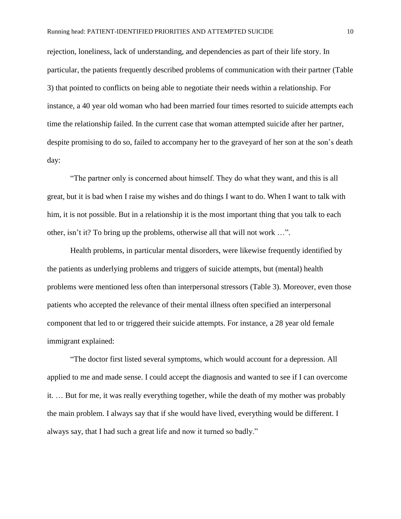rejection, loneliness, lack of understanding, and dependencies as part of their life story. In particular, the patients frequently described problems of communication with their partner (Table 3) that pointed to conflicts on being able to negotiate their needs within a relationship. For instance, a 40 year old woman who had been married four times resorted to suicide attempts each time the relationship failed. In the current case that woman attempted suicide after her partner, despite promising to do so, failed to accompany her to the graveyard of her son at the son's death day:

"The partner only is concerned about himself. They do what they want, and this is all great, but it is bad when I raise my wishes and do things I want to do. When I want to talk with him, it is not possible. But in a relationship it is the most important thing that you talk to each other, isn't it? To bring up the problems, otherwise all that will not work …".

Health problems, in particular mental disorders, were likewise frequently identified by the patients as underlying problems and triggers of suicide attempts, but (mental) health problems were mentioned less often than interpersonal stressors (Table 3). Moreover, even those patients who accepted the relevance of their mental illness often specified an interpersonal component that led to or triggered their suicide attempts. For instance, a 28 year old female immigrant explained:

"The doctor first listed several symptoms, which would account for a depression. All applied to me and made sense. I could accept the diagnosis and wanted to see if I can overcome it. … But for me, it was really everything together, while the death of my mother was probably the main problem. I always say that if she would have lived, everything would be different. I always say, that I had such a great life and now it turned so badly."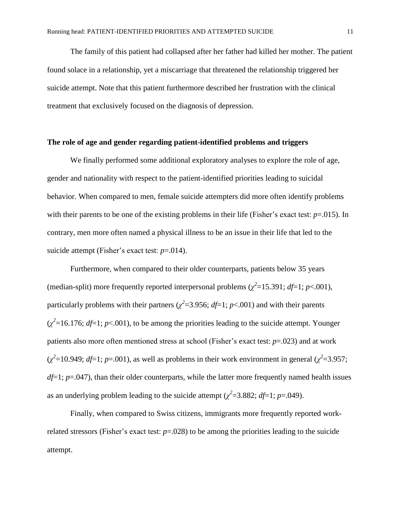The family of this patient had collapsed after her father had killed her mother. The patient found solace in a relationship, yet a miscarriage that threatened the relationship triggered her suicide attempt. Note that this patient furthermore described her frustration with the clinical treatment that exclusively focused on the diagnosis of depression.

# **The role of age and gender regarding patient-identified problems and triggers**

We finally performed some additional exploratory analyses to explore the role of age, gender and nationality with respect to the patient-identified priorities leading to suicidal behavior. When compared to men, female suicide attempters did more often identify problems with their parents to be one of the existing problems in their life (Fisher's exact test: *p*=.015). In contrary, men more often named a physical illness to be an issue in their life that led to the suicide attempt (Fisher's exact test:  $p=014$ ).

Furthermore, when compared to their older counterparts, patients below 35 years (median-split) more frequently reported interpersonal problems  $(\chi^2 = 15.391; df = 1; p < .001)$ , particularly problems with their partners ( $\chi^2$ =3.956; *df*=1; *p*<.001) and with their parents  $(\chi^2 = 16.176; df = 1; p < .001)$ , to be among the priorities leading to the suicide attempt. Younger patients also more often mentioned stress at school (Fisher's exact test: *p*=.023) and at work  $(\chi^2 = 10.949; df = 1; p = .001)$ , as well as problems in their work environment in general  $(\chi^2 = 3.957;$ *df*=1; *p*=.047), than their older counterparts, while the latter more frequently named health issues as an underlying problem leading to the suicide attempt ( $\chi^2$ =3.882; *df*=1; *p*=.049).

Finally, when compared to Swiss citizens, immigrants more frequently reported workrelated stressors (Fisher's exact test:  $p=0.028$ ) to be among the priorities leading to the suicide attempt.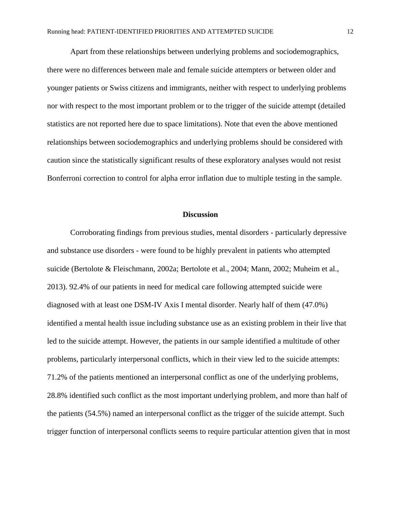Apart from these relationships between underlying problems and sociodemographics, there were no differences between male and female suicide attempters or between older and younger patients or Swiss citizens and immigrants, neither with respect to underlying problems nor with respect to the most important problem or to the trigger of the suicide attempt (detailed statistics are not reported here due to space limitations). Note that even the above mentioned relationships between sociodemographics and underlying problems should be considered with caution since the statistically significant results of these exploratory analyses would not resist Bonferroni correction to control for alpha error inflation due to multiple testing in the sample.

#### **Discussion**

Corroborating findings from previous studies, mental disorders - particularly depressive and substance use disorders - were found to be highly prevalent in patients who attempted suicide [\(Bertolote & Fleischmann, 2002a;](#page-18-0) [Bertolote et al., 2004;](#page-18-2) [Mann, 2002;](#page-20-0) [Muheim et al.,](#page-20-3)  [2013\)](#page-20-3). 92.4% of our patients in need for medical care following attempted suicide were diagnosed with at least one DSM-IV Axis I mental disorder. Nearly half of them (47.0%) identified a mental health issue including substance use as an existing problem in their live that led to the suicide attempt. However, the patients in our sample identified a multitude of other problems, particularly interpersonal conflicts, which in their view led to the suicide attempts: 71.2% of the patients mentioned an interpersonal conflict as one of the underlying problems, 28.8% identified such conflict as the most important underlying problem, and more than half of the patients (54.5%) named an interpersonal conflict as the trigger of the suicide attempt. Such trigger function of interpersonal conflicts seems to require particular attention given that in most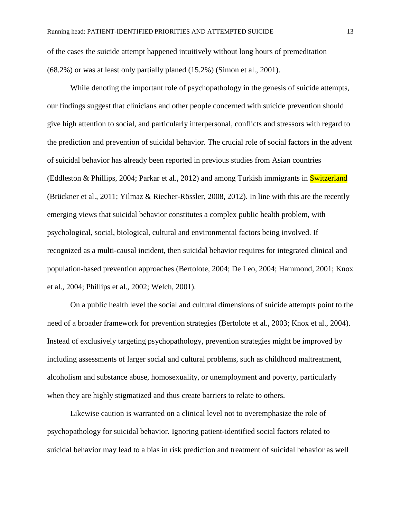of the cases the suicide attempt happened intuitively without long hours of premeditation (68.2%) or was at least only partially planed (15.2%) [\(Simon et al., 2001\)](#page-21-5).

While denoting the important role of psychopathology in the genesis of suicide attempts, our findings suggest that clinicians and other people concerned with suicide prevention should give high attention to social, and particularly interpersonal, conflicts and stressors with regard to the prediction and prevention of suicidal behavior. The crucial role of social factors in the advent of suicidal behavior has already been reported in previous studies from Asian countries [\(Eddleston & Phillips, 2004;](#page-19-1) [Parkar et al., 2012\)](#page-21-2) and among Turkish immigrants in Switzerland [\(Brückner et al., 2011;](#page-18-4) [Yilmaz & Riecher-Rössler, 2008,](#page-22-4) [2012\)](#page-22-5). In line with this are the recently emerging views that suicidal behavior constitutes a complex public health problem, with psychological, social, biological, cultural and environmental factors being involved. If recognized as a multi-causal incident, then suicidal behavior requires for integrated clinical and population-based prevention approaches [\(Bertolote, 2004;](#page-18-5) [De Leo, 2004;](#page-19-0) [Hammond, 2001;](#page-20-2) [Knox](#page-20-1)  [et al., 2004;](#page-20-1) [Phillips et al., 2002;](#page-21-3) [Welch, 2001\)](#page-22-0).

On a public health level the social and cultural dimensions of suicide attempts point to the need of a broader framework for prevention strategies [\(Bertolote et al., 2003;](#page-18-3) [Knox et al., 2004\)](#page-20-1). Instead of exclusively targeting psychopathology, prevention strategies might be improved by including assessments of larger social and cultural problems, such as childhood maltreatment, alcoholism and substance abuse, homosexuality, or unemployment and poverty, particularly when they are highly stigmatized and thus create barriers to relate to others.

Likewise caution is warranted on a clinical level not to overemphasize the role of psychopathology for suicidal behavior. Ignoring patient-identified social factors related to suicidal behavior may lead to a bias in risk prediction and treatment of suicidal behavior as well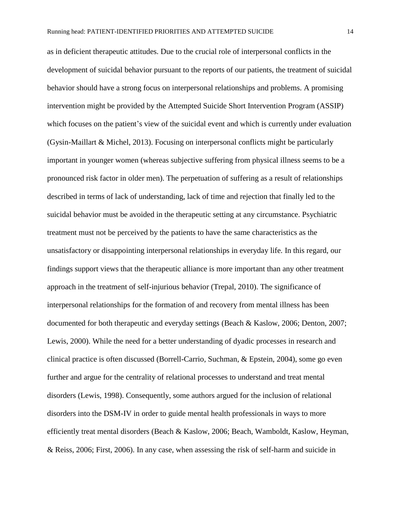as in deficient therapeutic attitudes. Due to the crucial role of interpersonal conflicts in the development of suicidal behavior pursuant to the reports of our patients, the treatment of suicidal behavior should have a strong focus on interpersonal relationships and problems. A promising intervention might be provided by the Attempted Suicide Short Intervention Program (ASSIP) which focuses on the patient's view of the suicidal event and which is currently under evaluation [\(Gysin-Maillart & Michel, 2013\)](#page-20-6). Focusing on interpersonal conflicts might be particularly important in younger women (whereas subjective suffering from physical illness seems to be a pronounced risk factor in older men). The perpetuation of suffering as a result of relationships described in terms of lack of understanding, lack of time and rejection that finally led to the suicidal behavior must be avoided in the therapeutic setting at any circumstance. Psychiatric treatment must not be perceived by the patients to have the same characteristics as the unsatisfactory or disappointing interpersonal relationships in everyday life. In this regard, our findings support views that the therapeutic alliance is more important than any other treatment approach in the treatment of self-injurious behavior [\(Trepal, 2010\)](#page-22-9). The significance of interpersonal relationships for the formation of and recovery from mental illness has been documented for both therapeutic and everyday settings [\(Beach & Kaslow, 2006;](#page-18-6) [Denton, 2007;](#page-19-6) [Lewis, 2000\)](#page-20-7). While the need for a better understanding of dyadic processes in research and clinical practice is often discussed [\(Borrell-Carrio, Suchman, & Epstein, 2004\)](#page-18-7), some go even further and argue for the centrality of relational processes to understand and treat mental disorders [\(Lewis, 1998\)](#page-20-8). Consequently, some authors argued for the inclusion of relational disorders into the DSM-IV in order to guide mental health professionals in ways to more efficiently treat mental disorders [\(Beach & Kaslow, 2006;](#page-18-6) [Beach, Wamboldt, Kaslow,](#page-18-8) Heyman, [& Reiss, 2006;](#page-18-8) [First, 2006\)](#page-19-7). In any case, when assessing the risk of self-harm and suicide in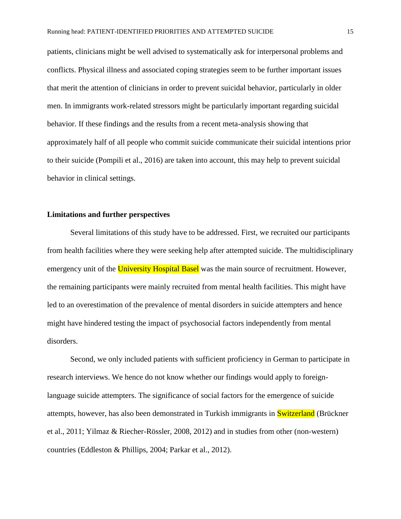patients, clinicians might be well advised to systematically ask for interpersonal problems and conflicts. Physical illness and associated coping strategies seem to be further important issues that merit the attention of clinicians in order to prevent suicidal behavior, particularly in older men. In immigrants work-related stressors might be particularly important regarding suicidal behavior. If these findings and the results from a recent meta-analysis showing that approximately half of all people who commit suicide communicate their suicidal intentions prior to their suicide [\(Pompili et al., 2016\)](#page-21-6) are taken into account, this may help to prevent suicidal behavior in clinical settings.

## **Limitations and further perspectives**

Several limitations of this study have to be addressed. First, we recruited our participants from health facilities where they were seeking help after attempted suicide. The multidisciplinary emergency unit of the University Hospital Basel was the main source of recruitment. However, the remaining participants were mainly recruited from mental health facilities. This might have led to an overestimation of the prevalence of mental disorders in suicide attempters and hence might have hindered testing the impact of psychosocial factors independently from mental disorders.

Second, we only included patients with sufficient proficiency in German to participate in research interviews. We hence do not know whether our findings would apply to foreignlanguage suicide attempters. The significance of social factors for the emergence of suicide attempts, however, has also been demonstrated in Turkish immigrants in Switzerland [\(Brückner](#page-18-4)  [et al., 2011;](#page-18-4) [Yilmaz & Riecher-Rössler, 2008,](#page-22-4) [2012\)](#page-22-5) and in studies from other (non-western) countries [\(Eddleston & Phillips, 2004;](#page-19-1) [Parkar et al., 2012\)](#page-21-2).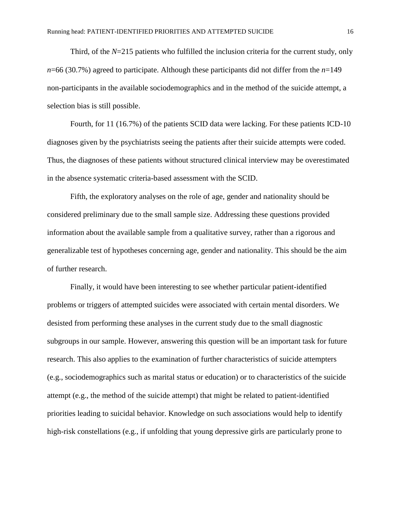Third, of the *N*=215 patients who fulfilled the inclusion criteria for the current study, only *n*=66 (30.7%) agreed to participate. Although these participants did not differ from the *n*=149 non-participants in the available sociodemographics and in the method of the suicide attempt, a selection bias is still possible.

Fourth, for 11 (16.7%) of the patients SCID data were lacking. For these patients ICD-10 diagnoses given by the psychiatrists seeing the patients after their suicide attempts were coded. Thus, the diagnoses of these patients without structured clinical interview may be overestimated in the absence systematic criteria-based assessment with the SCID.

Fifth, the exploratory analyses on the role of age, gender and nationality should be considered preliminary due to the small sample size. Addressing these questions provided information about the available sample from a qualitative survey, rather than a rigorous and generalizable test of hypotheses concerning age, gender and nationality. This should be the aim of further research.

Finally, it would have been interesting to see whether particular patient-identified problems or triggers of attempted suicides were associated with certain mental disorders. We desisted from performing these analyses in the current study due to the small diagnostic subgroups in our sample. However, answering this question will be an important task for future research. This also applies to the examination of further characteristics of suicide attempters (e.g., sociodemographics such as marital status or education) or to characteristics of the suicide attempt (e.g., the method of the suicide attempt) that might be related to patient-identified priorities leading to suicidal behavior. Knowledge on such associations would help to identify high-risk constellations (e.g., if unfolding that young depressive girls are particularly prone to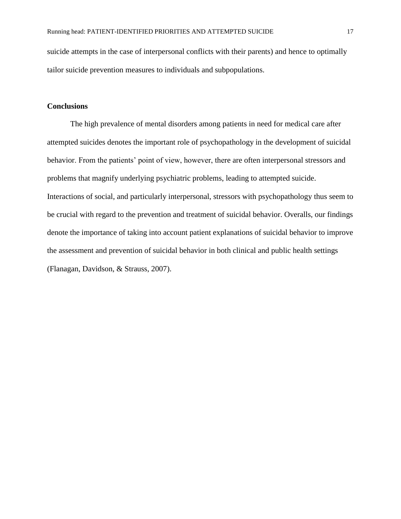suicide attempts in the case of interpersonal conflicts with their parents) and hence to optimally tailor suicide prevention measures to individuals and subpopulations.

# **Conclusions**

The high prevalence of mental disorders among patients in need for medical care after attempted suicides denotes the important role of psychopathology in the development of suicidal behavior. From the patients' point of view, however, there are often interpersonal stressors and problems that magnify underlying psychiatric problems, leading to attempted suicide. Interactions of social, and particularly interpersonal, stressors with psychopathology thus seem to be crucial with regard to the prevention and treatment of suicidal behavior. Overalls, our findings denote the importance of taking into account patient explanations of suicidal behavior to improve the assessment and prevention of suicidal behavior in both clinical and public health settings [\(Flanagan, Davidson, & Strauss, 2007\)](#page-19-8).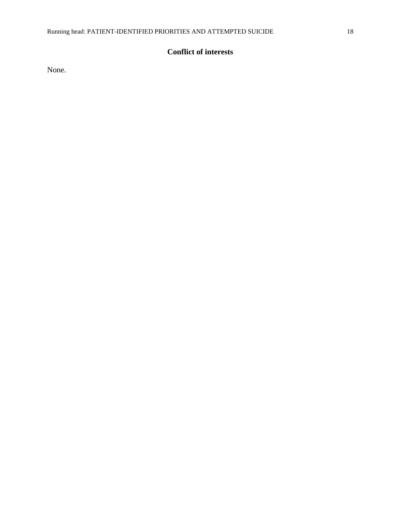# **Conflict of interests**

None.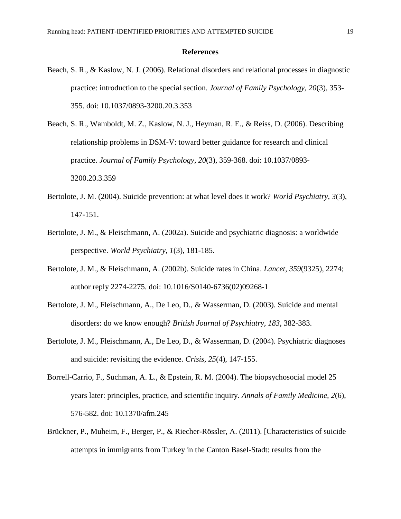#### **References**

- <span id="page-18-6"></span>Beach, S. R., & Kaslow, N. J. (2006). Relational disorders and relational processes in diagnostic practice: introduction to the special section. *Journal of Family Psychology, 20*(3), 353- 355. doi: 10.1037/0893-3200.20.3.353
- <span id="page-18-8"></span>Beach, S. R., Wamboldt, M. Z., Kaslow, N. J., Heyman, R. E., & Reiss, D. (2006). Describing relationship problems in DSM-V: toward better guidance for research and clinical practice. *Journal of Family Psychology, 20*(3), 359-368. doi: 10.1037/0893- 3200.20.3.359
- <span id="page-18-5"></span>Bertolote, J. M. (2004). Suicide prevention: at what level does it work? *World Psychiatry, 3*(3), 147-151.
- <span id="page-18-0"></span>Bertolote, J. M., & Fleischmann, A. (2002a). Suicide and psychiatric diagnosis: a worldwide perspective. *World Psychiatry, 1*(3), 181-185.
- <span id="page-18-1"></span>Bertolote, J. M., & Fleischmann, A. (2002b). Suicide rates in China. *Lancet, 359*(9325), 2274; author reply 2274-2275. doi: 10.1016/S0140-6736(02)09268-1
- <span id="page-18-3"></span>Bertolote, J. M., Fleischmann, A., De Leo, D., & Wasserman, D. (2003). Suicide and mental disorders: do we know enough? *British Journal of Psychiatry, 183*, 382-383.
- <span id="page-18-2"></span>Bertolote, J. M., Fleischmann, A., De Leo, D., & Wasserman, D. (2004). Psychiatric diagnoses and suicide: revisiting the evidence. *Crisis, 25*(4), 147-155.
- <span id="page-18-7"></span>Borrell-Carrio, F., Suchman, A. L., & Epstein, R. M. (2004). The biopsychosocial model 25 years later: principles, practice, and scientific inquiry. *Annals of Family Medicine, 2*(6), 576-582. doi: 10.1370/afm.245
- <span id="page-18-4"></span>Brückner, P., Muheim, F., Berger, P., & Riecher-Rössler, A. (2011). [Characteristics of suicide attempts in immigrants from Turkey in the Canton Basel-Stadt: results from the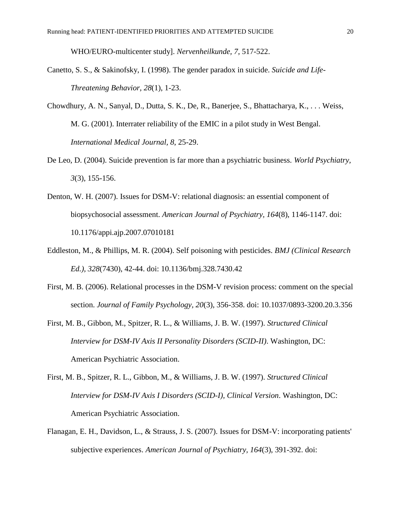WHO/EURO-multicenter study]. *Nervenheilkunde, 7*, 517-522.

- <span id="page-19-2"></span>Canetto, S. S., & Sakinofsky, I. (1998). The gender paradox in suicide. *Suicide and Life-Threatening Behavior, 28*(1), 1-23.
- <span id="page-19-5"></span>Chowdhury, A. N., Sanyal, D., Dutta, S. K., De, R., Banerjee, S., Bhattacharya, K., . . . Weiss, M. G. (2001). Interrater reliability of the EMIC in a pilot study in West Bengal. *International Medical Journal, 8*, 25-29.
- <span id="page-19-0"></span>De Leo, D. (2004). Suicide prevention is far more than a psychiatric business. *World Psychiatry, 3*(3), 155-156.
- <span id="page-19-6"></span>Denton, W. H. (2007). Issues for DSM-V: relational diagnosis: an essential component of biopsychosocial assessment. *American Journal of Psychiatry, 164*(8), 1146-1147. doi: 10.1176/appi.ajp.2007.07010181
- <span id="page-19-1"></span>Eddleston, M., & Phillips, M. R. (2004). Self poisoning with pesticides. *BMJ (Clinical Research Ed.), 328*(7430), 42-44. doi: 10.1136/bmj.328.7430.42
- <span id="page-19-7"></span>First, M. B. (2006). Relational processes in the DSM-V revision process: comment on the special section. *Journal of Family Psychology, 20*(3), 356-358. doi: 10.1037/0893-3200.20.3.356
- <span id="page-19-3"></span>First, M. B., Gibbon, M., Spitzer, R. L., & Williams, J. B. W. (1997). *Structured Clinical Interview for DSM-IV Axis II Personality Disorders (SCID-II)*. Washington, DC: American Psychiatric Association.
- <span id="page-19-4"></span>First, M. B., Spitzer, R. L., Gibbon, M., & Williams, J. B. W. (1997). *Structured Clinical Interview for DSM-IV Axis I Disorders (SCID-I), Clinical Version*. Washington, DC: American Psychiatric Association.
- <span id="page-19-8"></span>Flanagan, E. H., Davidson, L., & Strauss, J. S. (2007). Issues for DSM-V: incorporating patients' subjective experiences. *American Journal of Psychiatry, 164*(3), 391-392. doi: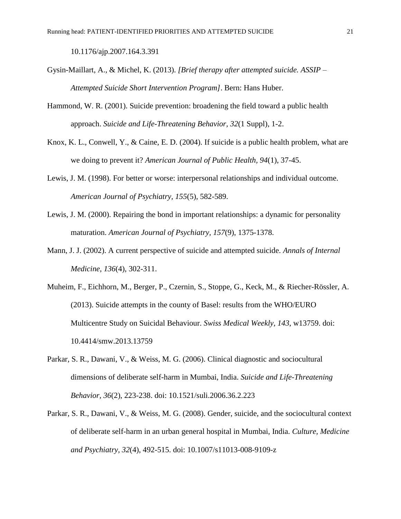10.1176/ajp.2007.164.3.391

- <span id="page-20-6"></span>Gysin-Maillart, A., & Michel, K. (2013). *[Brief therapy after attempted suicide. ASSIP – Attempted Suicide Short Intervention Program]*. Bern: Hans Huber.
- <span id="page-20-2"></span>Hammond, W. R. (2001). Suicide prevention: broadening the field toward a public health approach. *Suicide and Life-Threatening Behavior, 32*(1 Suppl), 1-2.
- <span id="page-20-1"></span>Knox, K. L., Conwell, Y., & Caine, E. D. (2004). If suicide is a public health problem, what are we doing to prevent it? *American Journal of Public Health, 94*(1), 37-45.
- <span id="page-20-8"></span>Lewis, J. M. (1998). For better or worse: interpersonal relationships and individual outcome. *American Journal of Psychiatry, 155*(5), 582-589.
- <span id="page-20-7"></span>Lewis, J. M. (2000). Repairing the bond in important relationships: a dynamic for personality maturation. *American Journal of Psychiatry, 157*(9), 1375-1378.
- <span id="page-20-0"></span>Mann, J. J. (2002). A current perspective of suicide and attempted suicide. *Annals of Internal Medicine, 136*(4), 302-311.
- <span id="page-20-3"></span>Muheim, F., Eichhorn, M., Berger, P., Czernin, S., Stoppe, G., Keck, M., & Riecher-Rössler, A. (2013). Suicide attempts in the county of Basel: results from the WHO/EURO Multicentre Study on Suicidal Behaviour. *Swiss Medical Weekly, 143*, w13759. doi: 10.4414/smw.2013.13759
- <span id="page-20-4"></span>Parkar, S. R., Dawani, V., & Weiss, M. G. (2006). Clinical diagnostic and sociocultural dimensions of deliberate self-harm in Mumbai, India. *Suicide and Life-Threatening Behavior, 36*(2), 223-238. doi: 10.1521/suli.2006.36.2.223
- <span id="page-20-5"></span>Parkar, S. R., Dawani, V., & Weiss, M. G. (2008). Gender, suicide, and the sociocultural context of deliberate self-harm in an urban general hospital in Mumbai, India. *Culture, Medicine and Psychiatry, 32*(4), 492-515. doi: 10.1007/s11013-008-9109-z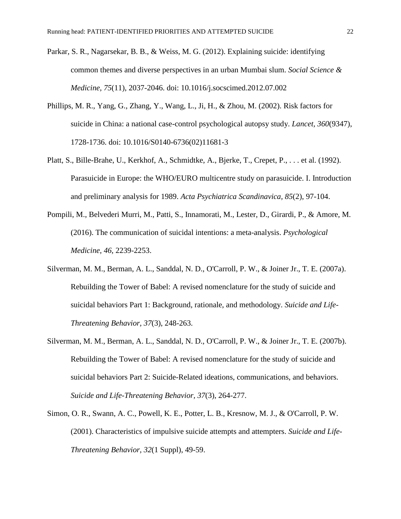- <span id="page-21-2"></span>Parkar, S. R., Nagarsekar, B. B., & Weiss, M. G. (2012). Explaining suicide: identifying common themes and diverse perspectives in an urban Mumbai slum. *Social Science & Medicine, 75*(11), 2037-2046. doi: 10.1016/j.socscimed.2012.07.002
- <span id="page-21-3"></span>Phillips, M. R., Yang, G., Zhang, Y., Wang, L., Ji, H., & Zhou, M. (2002). Risk factors for suicide in China: a national case-control psychological autopsy study. *Lancet, 360*(9347), 1728-1736. doi: 10.1016/S0140-6736(02)11681-3
- <span id="page-21-4"></span>Platt, S., Bille-Brahe, U., Kerkhof, A., Schmidtke, A., Bjerke, T., Crepet, P., . . . et al. (1992). Parasuicide in Europe: the WHO/EURO multicentre study on parasuicide. I. Introduction and preliminary analysis for 1989. *Acta Psychiatrica Scandinavica, 85*(2), 97-104.
- <span id="page-21-6"></span>Pompili, M., Belvederi Murri, M., Patti, S., Innamorati, M., Lester, D., Girardi, P., & Amore, M. (2016). The communication of suicidal intentions: a meta-analysis. *Psychological Medicine, 46*, 2239-2253.
- <span id="page-21-0"></span>Silverman, M. M., Berman, A. L., Sanddal, N. D., O'Carroll, P. W., & Joiner Jr., T. E. (2007a). Rebuilding the Tower of Babel: A revised nomenclature for the study of suicide and suicidal behaviors Part 1: Background, rationale, and methodology. *Suicide and Life-Threatening Behavior, 37*(3), 248-263.
- <span id="page-21-1"></span>Silverman, M. M., Berman, A. L., Sanddal, N. D., O'Carroll, P. W., & Joiner Jr., T. E. (2007b). Rebuilding the Tower of Babel: A revised nomenclature for the study of suicide and suicidal behaviors Part 2: Suicide-Related ideations, communications, and behaviors. *Suicide and Life-Threatening Behavior, 37*(3), 264-277.
- <span id="page-21-5"></span>Simon, O. R., Swann, A. C., Powell, K. E., Potter, L. B., Kresnow, M. J., & O'Carroll, P. W. (2001). Characteristics of impulsive suicide attempts and attempters. *Suicide and Life-Threatening Behavior, 32*(1 Suppl), 49-59.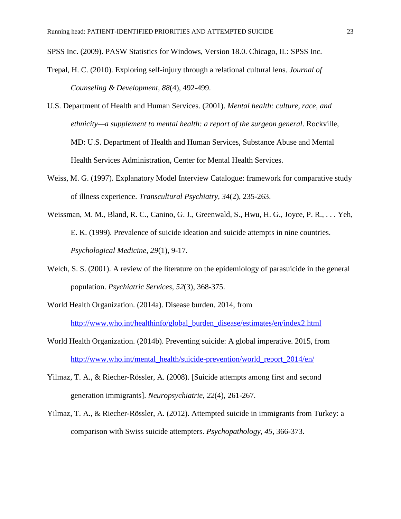<span id="page-22-8"></span>SPSS Inc. (2009). PASW Statistics for Windows, Version 18.0. Chicago, IL: SPSS Inc.

- <span id="page-22-9"></span>Trepal, H. C. (2010). Exploring self-injury through a relational cultural lens. *Journal of Counseling & Development, 88*(4), 492-499.
- <span id="page-22-3"></span>U.S. Department of Health and Human Services. (2001). *Mental health: culture, race, and ethnicity—a supplement to mental health: a report of the surgeon general*. Rockville, MD: U.S. Department of Health and Human Services, Substance Abuse and Mental Health Services Administration, Center for Mental Health Services.
- <span id="page-22-7"></span>Weiss, M. G. (1997). Explanatory Model Interview Catalogue: framework for comparative study of illness experience. *Transcultural Psychiatry, 34*(2), 235-263.
- <span id="page-22-6"></span>Weissman, M. M., Bland, R. C., Canino, G. J., Greenwald, S., Hwu, H. G., Joyce, P. R., . . . Yeh, E. K. (1999). Prevalence of suicide ideation and suicide attempts in nine countries. *Psychological Medicine, 29*(1), 9-17.
- <span id="page-22-0"></span>Welch, S. S. (2001). A review of the literature on the epidemiology of parasuicide in the general population. *Psychiatric Services, 52*(3), 368-375.
- <span id="page-22-2"></span>World Health Organization. (2014a). Disease burden. 2014, from [http://www.who.int/healthinfo/global\\_burden\\_disease/estimates/en/index2.html](http://www.who.int/healthinfo/global_burden_disease/estimates/en/index2.html)
- <span id="page-22-1"></span>World Health Organization. (2014b). Preventing suicide: A global imperative. 2015, from [http://www.who.int/mental\\_health/suicide-prevention/world\\_report\\_2014/en/](http://www.who.int/mental_health/suicide-prevention/world_report_2014/en/)
- <span id="page-22-4"></span>Yilmaz, T. A., & Riecher-Rössler, A. (2008). [Suicide attempts among first and second generation immigrants]. *Neuropsychiatrie, 22*(4), 261-267.
- <span id="page-22-5"></span>Yilmaz, T. A., & Riecher-Rössler, A. (2012). Attempted suicide in immigrants from Turkey: a comparison with Swiss suicide attempters. *Psychopathology, 45*, 366-373.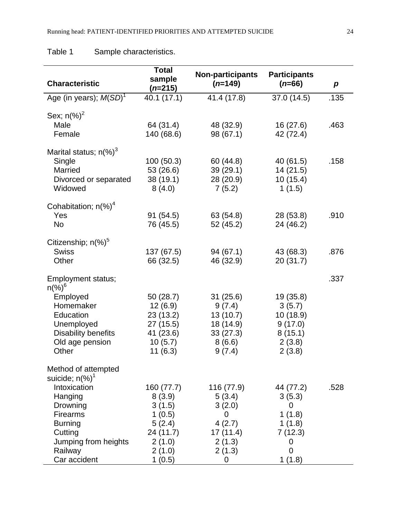# Table 1 Sample characteristics.

| <b>Characteristic</b>                                                                                                                                                                                   | <b>Total</b><br>sample<br>$(n=215)$                                                           | <b>Non-participants</b><br>$(n=149)$                                               | <b>Participants</b><br>$(n=66)$                                             | p    |
|---------------------------------------------------------------------------------------------------------------------------------------------------------------------------------------------------------|-----------------------------------------------------------------------------------------------|------------------------------------------------------------------------------------|-----------------------------------------------------------------------------|------|
| Age (in years); $M(SD)^T$                                                                                                                                                                               | 40.1 (17.1)                                                                                   | 41.4 (17.8)                                                                        | 37.0 (14.5)                                                                 | .135 |
| Sex; $n\frac{9}{6}$ <sup>2</sup><br>Male<br>Female                                                                                                                                                      | 64 (31.4)<br>140 (68.6)                                                                       | 48 (32.9)<br>98 (67.1)                                                             | 16(27.6)<br>42 (72.4)                                                       | .463 |
| Marital status; $n\left(\frac{9}{6}\right)^3$<br>Single<br>Married<br>Divorced or separated<br>Widowed                                                                                                  | 100 (50.3)<br>53 (26.6)<br>38 (19.1)<br>8(4.0)                                                | 60 (44.8)<br>39(29.1)<br>28 (20.9)<br>7(5.2)                                       | 40 (61.5)<br>14(21.5)<br>10(15.4)<br>1(1.5)                                 | .158 |
| Cohabitation; $n$ (%) <sup>4</sup><br>Yes<br><b>No</b>                                                                                                                                                  | 91 (54.5)<br>76 (45.5)                                                                        | 63 (54.8)<br>52 (45.2)                                                             | 28 (53.8)<br>24 (46.2)                                                      | .910 |
| Citizenship; $n$ (%) <sup>5</sup><br><b>Swiss</b><br>Other                                                                                                                                              | 137 (67.5)<br>66 (32.5)                                                                       | 94 (67.1)<br>46 (32.9)                                                             | 43 (68.3)<br>20(31.7)                                                       | .876 |
| Employment status;<br>$n\frac{9}{6}$ <sup>6</sup><br>Employed<br>Homemaker<br>Education<br>Unemployed<br><b>Disability benefits</b><br>Old age pension<br>Other                                         | 50 (28.7)<br>12(6.9)<br>23(13.2)<br>27 (15.5)<br>41 (23.6)<br>10(5.7)<br>11(6.3)              | 31(25.6)<br>9(7.4)<br>13(10.7)<br>18 (14.9)<br>33(27.3)<br>8(6.6)<br>9(7.4)        | 19 (35.8)<br>3(5.7)<br>10 (18.9)<br>9(17.0)<br>8(15.1)<br>2(3.8)<br>2(3.8)  | .337 |
| Method of attempted<br>suicide; $n\left(\frac{9}{6}\right)^1$<br>Intoxication<br>Hanging<br>Drowning<br><b>Firearms</b><br><b>Burning</b><br>Cutting<br>Jumping from heights<br>Railway<br>Car accident | 160 (77.7)<br>8(3.9)<br>3(1.5)<br>1(0.5)<br>5(2.4)<br>24 (11.7)<br>2(1.0)<br>2(1.0)<br>1(0.5) | 116 (77.9)<br>5(3.4)<br>3(2.0)<br>0<br>4(2.7)<br>17(11.4)<br>2(1.3)<br>2(1.3)<br>0 | 44 (77.2)<br>3(5.3)<br>0<br>1(1.8)<br>1(1.8)<br>7(12.3)<br>0<br>0<br>1(1.8) | .528 |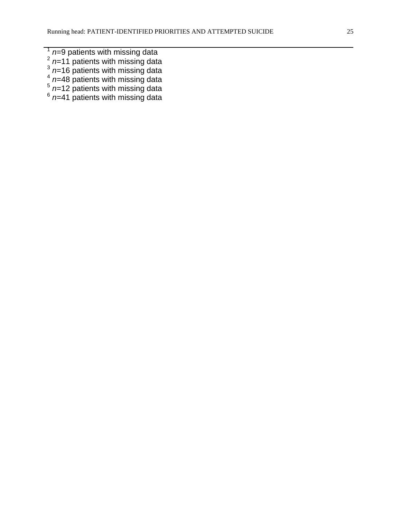- 
- 
- 
- $\frac{1}{2}$  n=9 patients with missing data<br>  $\frac{2}{2}$  n=11 patients with missing data<br>  $\frac{3}{2}$  n=16 patients with missing data<br>  $\frac{4}{2}$  n=48 patients with missing data<br>  $\frac{5}{2}$  n=12 patients with missing data<br>  $\frac{6}{2$
- 
-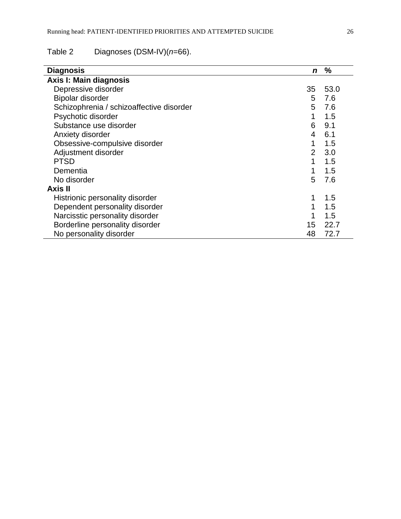# Table 2 Diagnoses (DSM-IV)(*n*=66).

| <b>Diagnosis</b>                         | n              | %    |
|------------------------------------------|----------------|------|
| Axis I: Main diagnosis                   |                |      |
| Depressive disorder                      | 35             | 53.0 |
| <b>Bipolar disorder</b>                  | 5              | 7.6  |
| Schizophrenia / schizoaffective disorder | 5              | 7.6  |
| Psychotic disorder                       | 1              | 1.5  |
| Substance use disorder                   | 6              | 9.1  |
| Anxiety disorder                         | 4              | 6.1  |
| Obsessive-compulsive disorder            | 1              | 1.5  |
| Adjustment disorder                      | $\overline{2}$ | 3.0  |
| <b>PTSD</b>                              | 1              | 1.5  |
| Dementia                                 | 1              | 1.5  |
| No disorder                              | 5              | 7.6  |
| Axis II                                  |                |      |
| Histrionic personality disorder          | 1              | 1.5  |
| Dependent personality disorder           | 1              | 1.5  |
| Narcisstic personality disorder          | 1              | 1.5  |
| Borderline personality disorder          | 15             | 22.7 |
| No personality disorder                  | 48             | 72.7 |